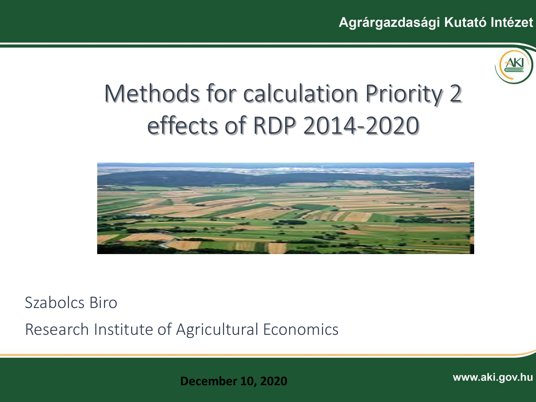

# Methods for calculation Priority 2 effects of RDP 2014-2020



Szabolcs Biro

Research Institute of Agricultural Economics

**December 10, 2020**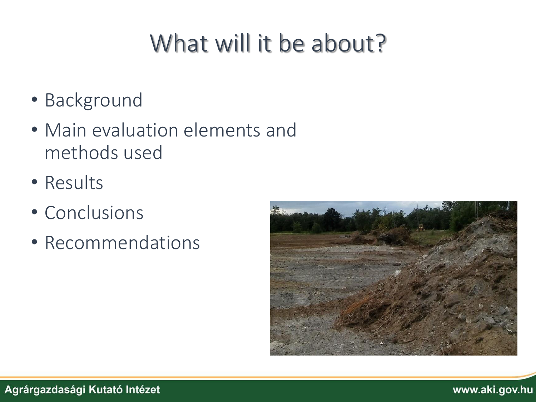# What will it be about?

- Background
- Main evaluation elements and methods used
- Results
- Conclusions
- Recommendations

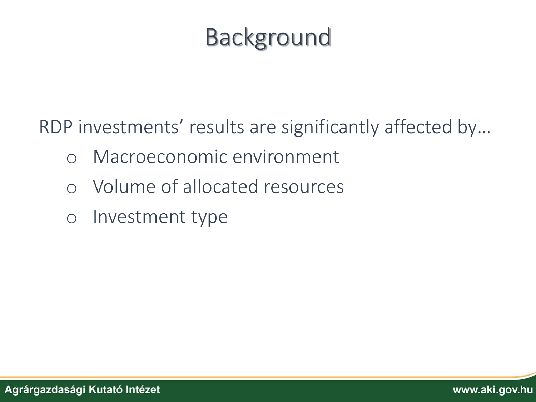# Background

RDP investments' results are significantly affected by…

- o Macroeconomic environment
- o Volume of allocated resources
- o Investment type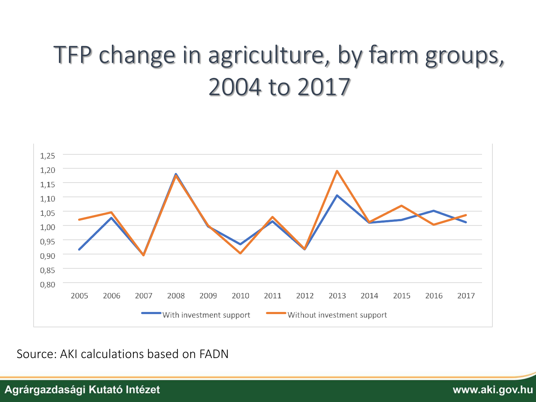# TFP change in agriculture, by farm groups, 2004 to 2017



Source: AKI calculations based on FADN

Agrárgazdasági Kutató Intézet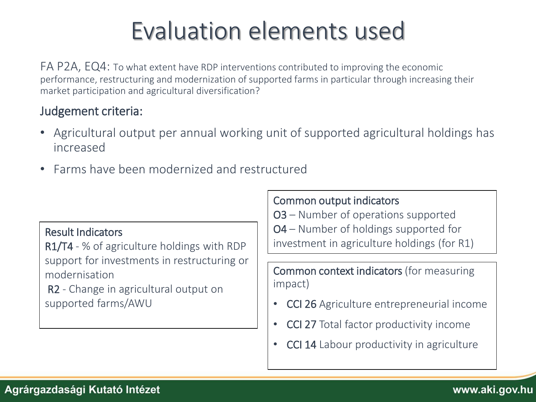# Evaluation elements used

FA P2A, EQ4: To what extent have RDP interventions contributed to improving the economic performance, restructuring and modernization of supported farms in particular through increasing their market participation and agricultural diversification?

### Judgement criteria:

- Agricultural output per annual working unit of supported agricultural holdings has increased
- Farms have been modernized and restructured

### Result Indicators

R1/T4 - % of agriculture holdings with RDP support for investments in restructuring or modernisation

R2 - Change in agricultural output on supported farms/AWU

### Common output indicators

O3 – Number of operations supported O4 – Number of holdings supported for investment in agriculture holdings (for R1)

Common context indicators (for measuring impact)

- CCI 26 Agriculture entrepreneurial income
- CCI 27 Total factor productivity income
- CCI 14 Labour productivity in agriculture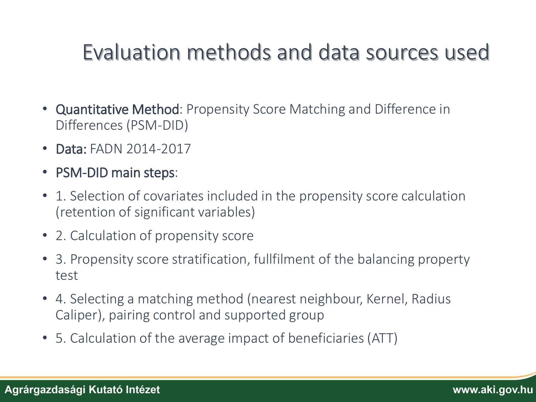### Evaluation methods and data sources used

- Quantitative Method: Propensity Score Matching and Difference in Differences (PSM-DID)
- Data: FADN 2014-2017
- PSM-DID main steps:
- 1. Selection of covariates included in the propensity score calculation (retention of significant variables)
- 2. Calculation of propensity score
- 3. Propensity score stratification, fullfilment of the balancing property test
- 4. Selecting a matching method (nearest neighbour, Kernel, Radius Caliper), pairing control and supported group
- 5. Calculation of the average impact of beneficiaries (ATT)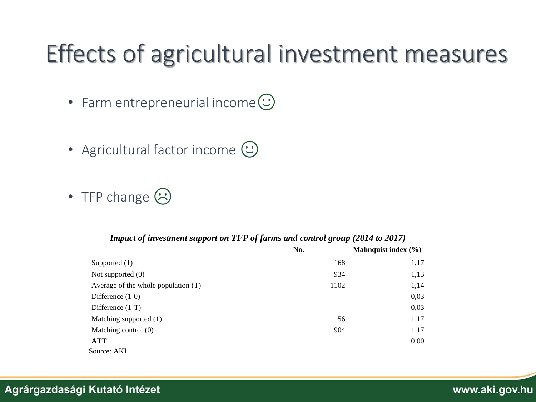## Effects of agricultural investment measures

- Farm entrepreneurial income $\odot$
- Agricultural factor income  $\left(\because\right)$
- TFP change  $\odot$

#### *Impact of investment support on TFP of farms and control group (2014 to 2017)*

|                                       | No.  | Malmquist index $(\% )$ |
|---------------------------------------|------|-------------------------|
| Supported $(1)$                       | 168  | 1,17                    |
| Not supported $(0)$                   | 934  | 1,13                    |
| Average of the whole population $(T)$ | 1102 | 1,14                    |
| Difference $(1-0)$                    |      | 0,03                    |
| Difference $(1-T)$                    |      | 0,03                    |
| Matching supported (1)                | 156  | 1,17                    |
| Matching control $(0)$                | 904  | 1,17                    |
| <b>ATT</b>                            |      | 0,00                    |
| Source: AKI                           |      |                         |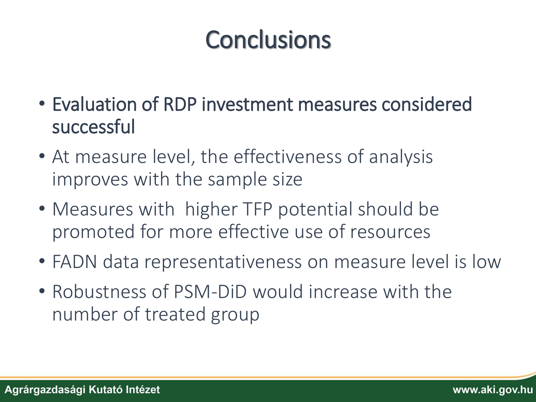# **Conclusions**

- Evaluation of RDP investment measures considered successful
- At measure level, the effectiveness of analysis improves with the sample size
- Measures with higher TFP potential should be promoted for more effective use of resources
- FADN data representativeness on measure level is low
- Robustness of PSM-DiD would increase with the number of treated group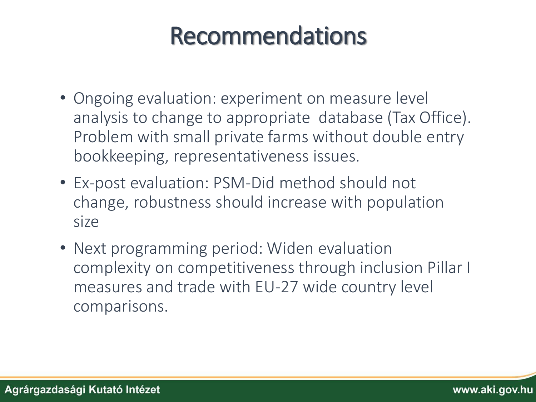## Recommendations

- Ongoing evaluation: experiment on measure level analysis to change to appropriate database (Tax Office). Problem with small private farms without double entry bookkeeping, representativeness issues.
- Ex-post evaluation: PSM-Did method should not change, robustness should increase with population size
- Next programming period: Widen evaluation complexity on competitiveness through inclusion Pillar I measures and trade with EU-27 wide country level comparisons.